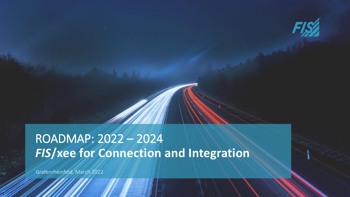

# *FIS***/xee for Connection and Integration** ROADMAP: 2022 – 2024

Grafenrheinfeld, March 2022.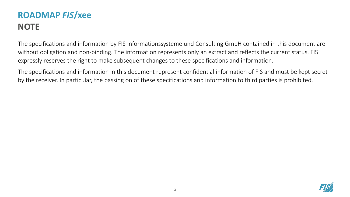# **ROADMAP** *FIS***/xee NOTE**

The specifications and information by FIS Informationssysteme und Consulting GmbH contained in this document are without obligation and non-binding. The information represents only an extract and reflects the current status. FIS expressly reserves the right to make subsequent changes to these specifications and information.

The specifications and information in this document represent confidential information of FIS and must be kept secret by the receiver. In particular, the passing on of these specifications and information to third parties is prohibited.

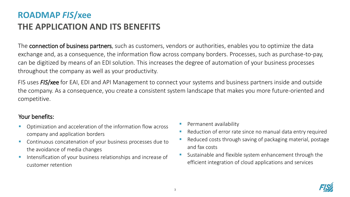# **ROADMAP** *FIS***/xee THE APPLICATION AND ITS BENEFITS**

The **connection of business partners**, such as customers, vendors or authorities, enables you to optimize the data exchange and, as a consequence, the information flow across company borders. Processes, such as purchase-to-pay, can be digitized by means of an EDI solution. This increases the degree of automation of your business processes throughout the company as well as your productivity.

FIS uses *FIS*/xee for EAI, EDI and API Management to connect your systems and business partners inside and outside the company. As a consequence, you create a consistent system landscape that makes you more future-oriented and competitive.

### Your benefits:

- Optimization and acceleration of the information flow across company and application borders
- Continuous concatenation of your business processes due to the avoidance of media changes
- **Intensification of your business relationships and increase of** customer retention
- Permanent availability
- Reduction of error rate since no manual data entry required
- Reduced costs through saving of packaging material, postage and fax costs
- Sustainable and flexible system enhancement through the efficient integration of cloud applications and services

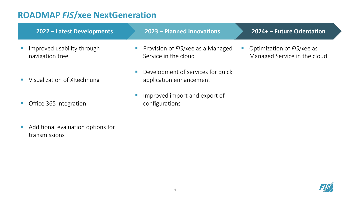| 2022 - Latest Developments                         | 2023 – Planned Innovations<br>2024+ - Future Orientation                                                                     |
|----------------------------------------------------|------------------------------------------------------------------------------------------------------------------------------|
| Improved usability through<br>navigation tree      | Provision of FIS/xee as a Managed<br>• Optimization of $FIS$ /xee as<br>Service in the cloud<br>Managed Service in the cloud |
| Visualization of XRechnung                         | Development of services for quick<br>application enhancement                                                                 |
| Office 365 integration                             | Improved import and export of<br>configurations                                                                              |
| Additional evaluation options for<br>transmissions |                                                                                                                              |

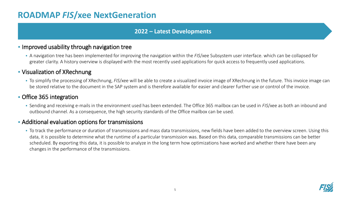#### **2022 – Latest Developments**

### **.** Improved usability through navigation tree

▪ A navigation tree has been implemented for improving the navigation within the *FIS*/xee Subsystem user interface. which can be collapsed for greater clarity. A history overview is displayed with the most recently used applications for quick access to frequently used applications.

### **• Visualization of XRechnung**

▪ To simplify the processing of XRechnung, *FIS*/xee will be able to create a visualized invoice image of XRechnung in the future. This invoice image can be stored relative to the document in the SAP system and is therefore available for easier and clearer further use or control of the invoice.

### **• Office 365 integration**

▪ Sending and receiving e-mails in the environment used has been extended. The Office 365 mailbox can be used in *FIS*/xee as both an inbound and outbound channel. As a consequence, the high security standards of the Office mailbox can be used.

### **EXECT:** Additional evaluation options for transmissions

■ To track the performance or duration of transmissions and mass data transmissions, new fields have been added to the overview screen. Using this data, it is possible to determine what the runtime of a particular transmission was. Based on this data, comparable transmissions can be better scheduled. By exporting this data, it is possible to analyze in the long term how optimizations have worked and whether there have been any changes in the performance of the transmissions.

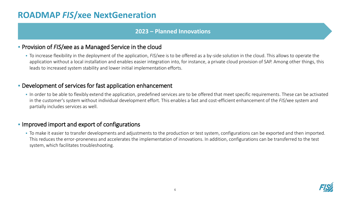#### **2023 – Planned Innovations**

#### ▪ Provision of *FIS*/xee as a Managed Service in the cloud

▪ To increase flexibility in the deployment of the application, *FIS*/xee is to be offered as a by-side solution in the cloud. This allows to operate the application without a local installation and enables easier integration into, for instance, a private cloud provision of SAP. Among other things, this leads to increased system stability and lower initial implementation efforts.

### **• Development of services for fast application enhancement**

In order to be able to flexibly extend the application, predefined services are to be offered that meet specific requirements. These can be activated in the customer's system without individual development effort. This enables a fast and cost-efficient enhancement of the *FIS*/xee system and partially includes services as well.

### **.** Improved import and export of configurations

▪ To make it easier to transfer developments and adjustments to the production or test system, configurations can be exported and then imported. This reduces the error-proneness and accelerates the implementation of innovations. In addition, configurations can be transferred to the test system, which facilitates troubleshooting.

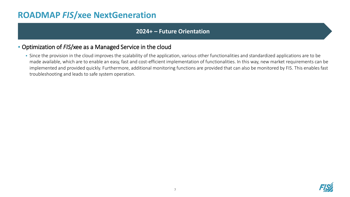#### **2024+ – Future Orientation**

### ▪ Optimization of *FIS*/xee as a Managed Service in the cloud

• Since the provision in the cloud improves the scalability of the application, various other functionalities and standardized applications are to be made available, which are to enable an easy, fast and cost-efficient implementation of functionalities. In this way, new market requirements can be implemented and provided quickly. Furthermore, additional monitoring functions are provided that can also be monitored by FIS. This enables fast troubleshooting and leads to safe system operation.